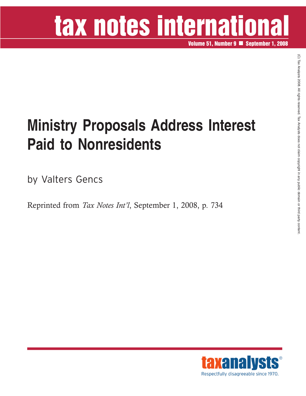# tax notes international

**Volume 51, Number 9 September 1, 2008**

### **Ministry Proposals Address Interest Paid to Nonresidents**

by Valters Gencs

Reprinted from *Tax Notes Int'l*, September 1, 2008, p. 734

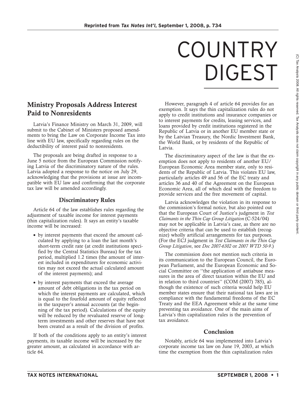## COUNTRY DIGEST

#### **Ministry Proposals Address Interest Paid to Nonresidents**

Latvia's Finance Ministry on March 31, 2009, will submit to the Cabinet of Ministers proposed amendments to bring the Law on Corporate Income Tax into line with EU law, specifically regarding rules on the deductibility of interest paid to nonresidents.

The proposals are being drafted in response to a June 5 notice from the European Commission notifying Latvia of the discriminatory nature of the rules. Latvia adopted a response to the notice on July 29, acknowledging that the provisions at issue are incompatible with EU law and confirming that the corporate tax law will be amended accordingly.

#### **Discriminatory Rules**

Article 64 of the law establishes rules regarding the adjustment of taxable income for interest payments (thin capitalization rules). It says an entity's taxable income will be increased:

- by interest payments that exceed the amount calculated by applying to a loan the last month's short-term credit rate (at credit institutions specified by the Central Statistics Bureau) for the tax period, multiplied 1.2 times (the amount of interest included in expenditures for economic activities may not exceed the actual calculated amount of the interest payments); and
- by interest payments that exceed the average amount of debt obligations in the tax period on which the interest payments are calculated, which is equal to the fourfold amount of equity reflected in the taxpayer's annual accounts (at the beginning of the tax period). Calculations of the equity will be reduced by the revaluated reserve of longterm investments and other reserves that have not been created as a result of the division of profits.

If both of the conditions apply to an entity's interest payments, its taxable income will be increased by the greater amount, as calculated in accordance with article 64.

However, paragraph 4 of article 64 provides for an exemption. It says the thin capitalization rules do not apply to credit institutions and insurance companies or to interest payments for credits, leasing services, and loans provided by credit institutions registered in the Republic of Latvia or in another EU member state or by the Latvian Treasury, the Nordic Investment Bank, the World Bank, or by residents of the Republic of Latvia.

The discriminatory aspect of the law is that the exemption does not apply to residents of another EU/ European Economic Area member state, only to residents of the Republic of Latvia. This violates EU law, particularly articles 49 and 56 of the EC treaty and articles 36 and 40 of the Agreement on the European Economic Area, all of which deal with the freedom to provide services and the free movement of capital.

Latvia acknowledges the violation in its response to the commission's formal notice, but also pointed out that the European Court of Justice's judgment in *Test Claimants in the Thin Cap Group Litigation* (C-524/04) may not be applicable in Latvia's case, as there are no objective criteria that can be used to establish (recognize) wholly artificial arrangements for tax purposes. (For the ECJ judgment in *Test Claimants in the Thin Cap Group Litigation*, see *Doc 2007-6302* or *2007 WTD 50-9*.)

The commission does not mention such criteria in its communication to the European Council, the European Parliament, and the European Economic and Social Committee on ''the application of antiabuse measures in the area of direct taxation within the EU and in relation to third countries'' (COM (2007) 785), although the existence of such criteria would help EU member states ensure that their national tax laws are in compliance with the fundamental freedoms of the EC Treaty and the EEA Agreement while at the same time preventing tax avoidance. One of the main aims of Latvia's thin capitalization rules is the prevention of tax avoidance.

#### **Conclusion**

Notably, article 64 was implemented into Latvia's corporate income tax law on June 19, 2003, at which time the exemption from the thin capitalization rules